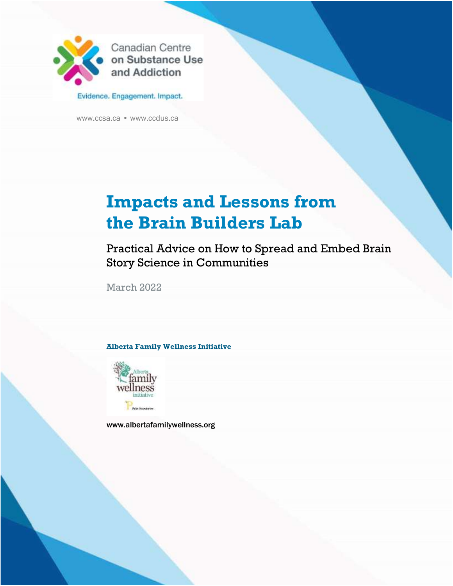

Canadian Centre<br>on Substance Use and Addiction

Evidence. Engagement. Impact.

[www.ccsa.ca](http://www.ccsa.ca/) • www.ccdus.ca

# **Impacts and Lessons from the Brain Builders Lab**

Practical Advice on How to Spread and Embed Brain Story Science in Communities

March 2022

#### **Alberta Family Wellness Initiative**



www.albertafamilywellness.org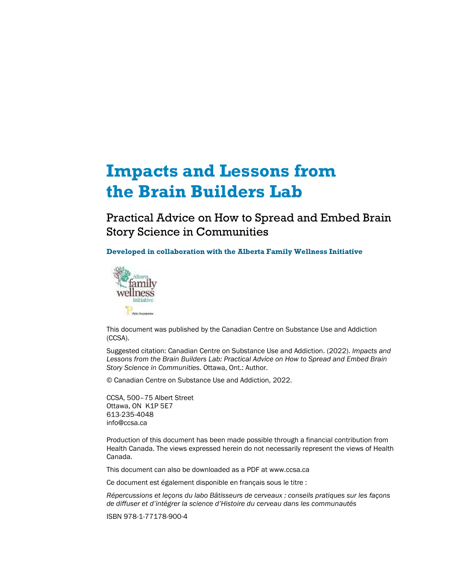# **Impacts and Lessons from the Brain Builders Lab**

Practical Advice on How to Spread and Embed Brain Story Science in Communities

**Developed in collaboration with the Alberta Family Wellness Initiative**



This document was published by the Canadian Centre on Substance Use and Addiction (CCSA).

Suggested citation: Canadian Centre on Substance Use and Addiction. (2022). *Impacts and Lessons from the Brain Builders Lab: Practical Advice on How to Spread and Embed Brain Story Science in Communities.* Ottawa, Ont.: Author.

© Canadian Centre on Substance Use and Addiction, 2022.

CCSA, 500–75 Albert Street Ottawa, ON K1P 5E7 613-235-4048 info@ccsa.ca

Production of this document has been made possible through a financial contribution from Health Canada. The views expressed herein do not necessarily represent the views of Health Canada.

This document can also be downloaded as a PDF at www.ccsa.ca

Ce document est également disponible en français sous le titre :

*Répercussions et leçons du labo Bâtisseurs de cerveaux : conseils pratiques sur les façons de diffuser et d'intégrer la science d'Histoire du cerveau dans les communautés*

ISBN 978-1-77178-900-4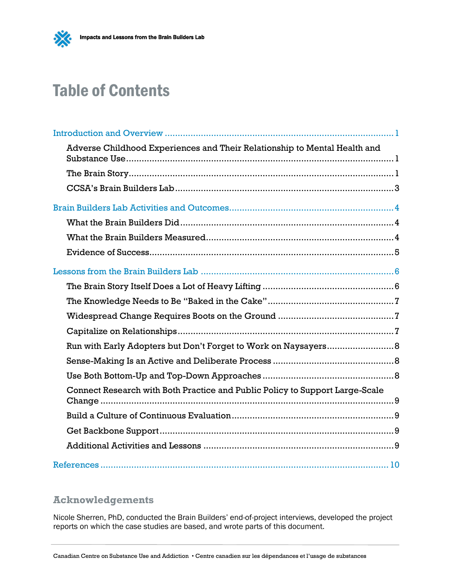

Ð

| Adverse Childhood Experiences and Their Relationship to Mental Health and    |  |
|------------------------------------------------------------------------------|--|
|                                                                              |  |
|                                                                              |  |
|                                                                              |  |
|                                                                              |  |
|                                                                              |  |
|                                                                              |  |
|                                                                              |  |
|                                                                              |  |
|                                                                              |  |
|                                                                              |  |
|                                                                              |  |
| Run with Early Adopters but Don't Forget to Work on Naysayers 8              |  |
|                                                                              |  |
|                                                                              |  |
| Connect Research with Both Practice and Public Policy to Support Large-Scale |  |
|                                                                              |  |
|                                                                              |  |
|                                                                              |  |
|                                                                              |  |

### **Acknowledgements**

Nicole Sherren, PhD, conducted the Brain Builders' end-of-project interviews, developed the project reports on which the case studies are based, and wrote parts of this document.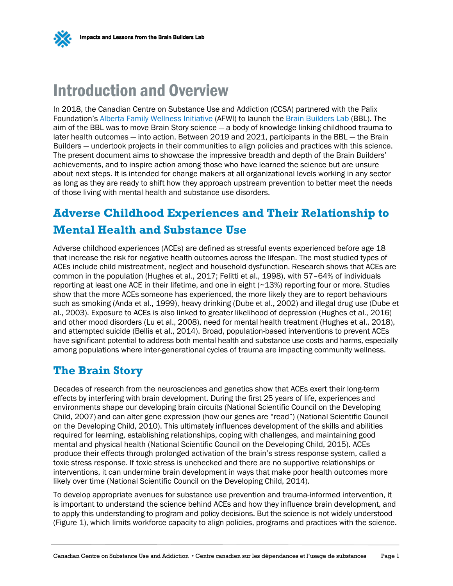



## <span id="page-3-0"></span>Introduction and Overview

In 2018, the Canadian Centre on Substance Use and Addiction (CCSA) partnered with the Palix Foundation's [Alberta Family Wellness Initiative](https://www.albertafamilywellness.org/) (AFWI) to launch the [Brain Builders Lab](https://www.ccsa.ca/brain-builders-lab-adverse-childhood-experiences) (BBL). The aim of the BBL was to move Brain Story science — a body of knowledge linking childhood trauma to later health outcomes — into action. Between 2019 and 2021, participants in the BBL — the Brain Builders — undertook projects in their communities to align policies and practices with this science. The present document aims to showcase the impressive breadth and depth of the Brain Builders' achievements, and to inspire action among those who have learned the science but are unsure about next steps. It is intended for change makers at all organizational levels working in any sector as long as they are ready to shift how they approach upstream prevention to better meet the needs of those living with mental health and substance use disorders.

## <span id="page-3-1"></span>**Adverse Childhood Experiences and Their Relationship to Mental Health and Substance Use**

Adverse childhood experiences (ACEs) are defined as stressful events experienced before age 18 that increase the risk for negative health outcomes across the lifespan. The most studied types of ACEs include child mistreatment, neglect and household dysfunction. Research shows that ACEs are common in the population (Hughes et al., 2017; Felitti et al., 1998), with 57–64% of individuals reporting at least one ACE in their lifetime, and one in eight (~13%) reporting four or more. Studies show that the more ACEs someone has experienced, the more likely they are to report behaviours such as smoking (Anda et al., 1999), heavy drinking (Dube et al., 2002) and illegal drug use (Dube et al., 2003). Exposure to ACEs is also linked to greater likelihood of depression (Hughes et al., 2016) and other mood disorders (Lu et al., 2008), need for mental health treatment (Hughes et al., 2018), and attempted suicide (Bellis et al., 2014). Broad, population-based interventions to prevent ACEs have significant potential to address both mental health and substance use costs and harms, especially among populations where inter-generational cycles of trauma are impacting community wellness.

### <span id="page-3-2"></span>**The Brain Story**

Decades of research from the neurosciences and genetics show that ACEs exert their long-term effects by interfering with brain development. During the first 25 years of life, experiences and environments shape our developing brain circuits (National Scientific Council on the Developing Child, 2007) and can alter gene expression (how our genes are "read") (National Scientific Council on the Developing Child, 2010). This ultimately influences development of the skills and abilities required for learning, establishing relationships, coping with challenges, and maintaining good mental and physical health (National Scientific Council on the Developing Child, 2015). ACEs produce their effects through prolonged activation of the brain's stress response system, called a toxic stress response. If toxic stress is unchecked and there are no supportive relationships or interventions, it can undermine brain development in ways that make poor health outcomes more likely over time (National Scientific Council on the Developing Child, 2014).

To develop appropriate avenues for substance use prevention and trauma-informed intervention, it is important to understand the science behind ACEs and how they influence brain development, and to apply this understanding to program and policy decisions. But the science is not widely understood (Figure 1), which limits workforce capacity to align policies, programs and practices with the science.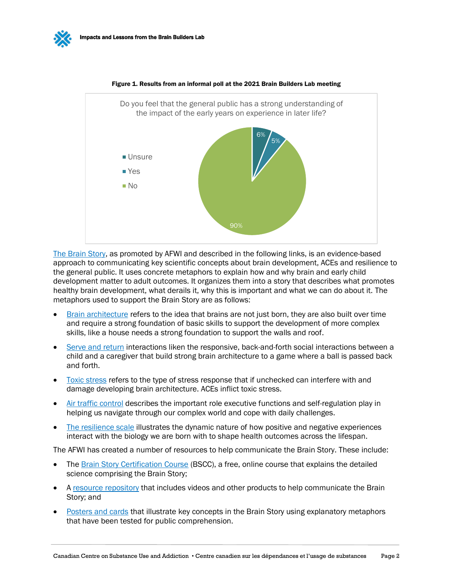

#### Figure 1. Results from an informal poll at the 2021 Brain Builders Lab meeting

[The Brain Story,](https://www.albertafamilywellness.org/what-we-know/the-brain-story) as promoted by AFWI and described in the following links, is an evidence-based approach to communicating key scientific concepts about brain development, ACEs and resilience to the general public. It uses concrete metaphors to explain how and why brain and early child development matter to adult outcomes. It organizes them into a story that describes what promotes healthy brain development, what derails it, why this is important and what we can do about it. The metaphors used to support the Brain Story are as follows:

- [Brain architecture](https://www.albertafamilywellness.org/what-we-know/brain-architecture/) refers to the idea that brains are not just born, they are also built over time and require a strong foundation of basic skills to support the development of more complex skills, like a house needs a strong foundation to support the walls and roof.
- [Serve and return](https://www.albertafamilywellness.org/what-we-know/serve-and-return/) interactions liken the responsive, back-and-forth social interactions between a child and a caregiver that build strong brain architecture to a game where a ball is passed back and forth.
- [Toxic stress](https://www.albertafamilywellness.org/what-we-know/stress/) refers to the type of stress response that if unchecked can interfere with and damage developing brain architecture. ACEs inflict toxic stress.
- [Air traffic control](https://www.albertafamilywellness.org/what-we-know/air-traffic-control/) describes the important role executive functions and self-regulation play in helping us navigate through our complex world and cope with daily challenges.
- [The resilience scale](https://www.albertafamilywellness.org/what-we-know/resilience-scale/) illustrates the dynamic nature of how positive and negative experiences interact with the biology we are born with to shape health outcomes across the lifespan.

The AFWI has created a number of resources to help communicate the Brain Story. These include:

- The [Brain Story Certification Course](https://www.albertafamilywellness.org/training) (BSCC), a free, online course that explains the detailed science comprising the Brain Story;
- A [resource repository](https://www.albertafamilywellness.org/resources/) that includes videos and other products to help communicate the Brain Story; and
- [Posters and cards](https://www.ccsa.ca/brain-builder-learning-cards) that illustrate key concepts in the Brain Story using explanatory metaphors that have been tested for public comprehension.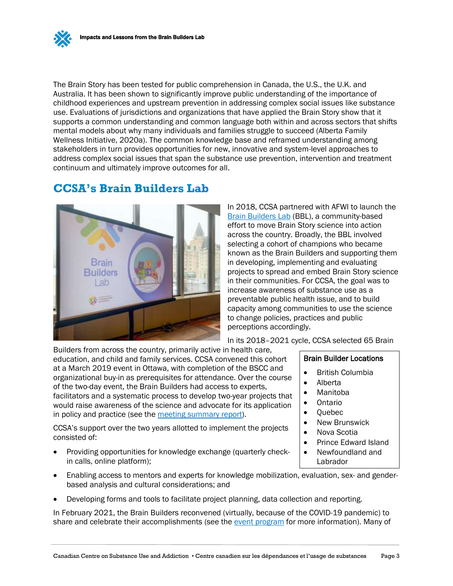Impacts and Lessons from the Brain Builders Lab

The Brain Story has been tested for public comprehension in Canada, the U.S., the U.K. and Australia. It has been shown to significantly improve public understanding of the importance of childhood experiences and upstream prevention in addressing complex social issues like substance use. Evaluations of jurisdictions and organizations that have applied the Brain Story show that it supports a common understanding and common language both within and across sectors that shifts mental models about why many individuals and families struggle to succeed (Alberta Family Wellness Initiative, 2020a). The common knowledge base and reframed understanding among stakeholders in turn provides opportunities for new, innovative and system-level approaches to address complex social issues that span the substance use prevention, intervention and treatment continuum and ultimately improve outcomes for all.

### <span id="page-5-0"></span>**CCSA's Brain Builders Lab**



In 2018, CCSA partnered with AFWI to launch the [Brain Builders Lab](https://www.ccsa.ca/brain-builders-lab-adverse-childhood-experiences) (BBL), a community-based effort to move Brain Story science into action across the country. Broadly, the BBL involved selecting a cohort of champions who became known as the Brain Builders and supporting them in developing, implementing and evaluating projects to spread and embed Brain Story science in their communities. For CCSA, the goal was to increase awareness of substance use as a preventable public health issue, and to build capacity among communities to use the science to change policies, practices and public perceptions accordingly.

In its 2018–2021 cycle, CCSA selected 65 Brain

Builders from across the country, primarily active in health care, education, and child and family services. CCSA convened this cohort at a March 2019 event in Ottawa, with completion of the BSCC and organizational buy-in as prerequisites for attendance. Over the course of the two-day event, the Brain Builders had access to experts, facilitators and a systematic process to develop two-year projects that would raise awareness of the science and advocate for its application in policy and practice (see the [meeting summary report\)](https://www.ccsa.ca/ccsa-brain-builders-lab-march-4-5-2019-meeting-summary-report).

CCSA's support over the two years allotted to implement the projects consisted of:

- Providing opportunities for knowledge exchange (quarterly checkin calls, online platform);
- Enabling access to mentors and experts for knowledge mobilization, evaluation, sex- and genderbased analysis and cultural considerations; and
- Developing forms and tools to facilitate project planning, data collection and reporting.

In February 2021, the Brain Builders reconvened (virtually, because of the COVID-19 pandemic) to share and celebrate their accomplishments (see the [event program](https://www.ccsa.ca/sites/default/files/2021-02/CCSA-Brain-Builders-Lab-Celebration-Program-2021-en.pdf) for more information). Many of

#### Brain Builder Locations

- British Columbia
- Alberta
- Manitoba
- Ontario
- Quebec
- **New Brunswick**
- Nova Scotia
- Prince Edward Island
- Newfoundland and Labrador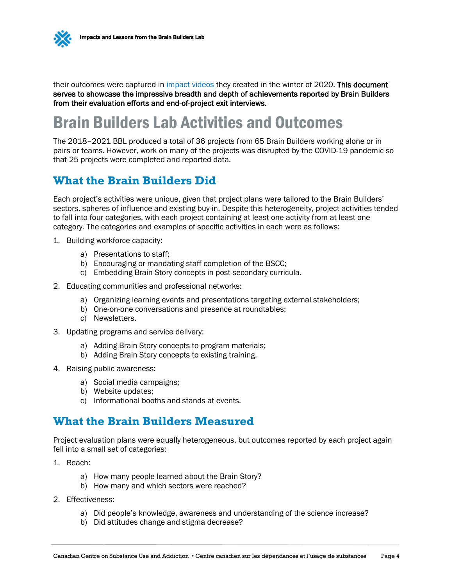

their outcomes were captured in [impact videos](https://www.youtube.com/playlist?list=PL1VWJFnRE-UQph04e5YSXdr8VxWHj_P9U) they created in the winter of 2020. This document serves to showcase the impressive breadth and depth of achievements reported by Brain Builders from their evaluation efforts and end-of-project exit interviews.

# <span id="page-6-0"></span>Brain Builders Lab Activities and Outcomes

The 2018–2021 BBL produced a total of 36 projects from 65 Brain Builders working alone or in pairs or teams. However, work on many of the projects was disrupted by the COVID-19 pandemic so that 25 projects were completed and reported data.

### <span id="page-6-1"></span>**What the Brain Builders Did**

Each project's activities were unique, given that project plans were tailored to the Brain Builders' sectors, spheres of influence and existing buy-in. Despite this heterogeneity, project activities tended to fall into four categories, with each project containing at least one activity from at least one category. The categories and examples of specific activities in each were as follows:

- 1. Building workforce capacity:
	- a) Presentations to staff;
	- b) Encouraging or mandating staff completion of the BSCC;
	- c) Embedding Brain Story concepts in post-secondary curricula.
- 2. Educating communities and professional networks:
	- a) Organizing learning events and presentations targeting external stakeholders;
	- b) One-on-one conversations and presence at roundtables;
	- c) Newsletters.
- 3. Updating programs and service delivery:
	- a) Adding Brain Story concepts to program materials;
	- b) Adding Brain Story concepts to existing training.
- 4. Raising public awareness:
	- a) Social media campaigns;
	- b) Website updates;
	- c) Informational booths and stands at events.

### <span id="page-6-2"></span>**What the Brain Builders Measured**

Project evaluation plans were equally heterogeneous, but outcomes reported by each project again fell into a small set of categories:

- 1. Reach:
	- a) How many people learned about the Brain Story?
	- b) How many and which sectors were reached?
- 2. Effectiveness:
	- a) Did people's knowledge, awareness and understanding of the science increase?
	- b) Did attitudes change and stigma decrease?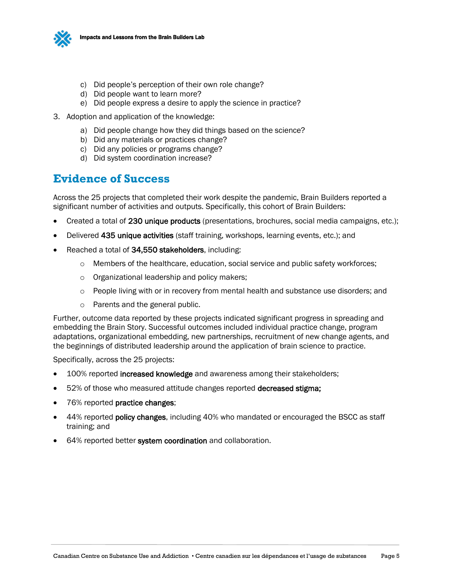

- c) Did people's perception of their own role change?
- d) Did people want to learn more?
- e) Did people express a desire to apply the science in practice?
- 3. Adoption and application of the knowledge:
	- a) Did people change how they did things based on the science?
	- b) Did any materials or practices change?
	- c) Did any policies or programs change?
	- d) Did system coordination increase?

#### <span id="page-7-0"></span>**Evidence of Success**

Across the 25 projects that completed their work despite the pandemic, Brain Builders reported a significant number of activities and outputs. Specifically, this cohort of Brain Builders:

- Created a total of 230 unique products (presentations, brochures, social media campaigns, etc.);
- Delivered 435 unique activities (staff training, workshops, learning events, etc.); and
- Reached a total of 34,550 stakeholders, including:
	- $\circ$  Members of the healthcare, education, social service and public safety workforces;
	- o Organizational leadership and policy makers;
	- $\circ$  People living with or in recovery from mental health and substance use disorders; and
	- o Parents and the general public.

Further, outcome data reported by these projects indicated significant progress in spreading and embedding the Brain Story. Successful outcomes included individual practice change, program adaptations, organizational embedding, new partnerships, recruitment of new change agents, and the beginnings of distributed leadership around the application of brain science to practice.

Specifically, across the 25 projects:

- 100% reported increased knowledge and awareness among their stakeholders;
- 52% of those who measured attitude changes reported decreased stigma;
- 76% reported practice changes;
- 44% reported **policy changes**, including 40% who mandated or encouraged the BSCC as staff training; and
- 64% reported better system coordination and collaboration.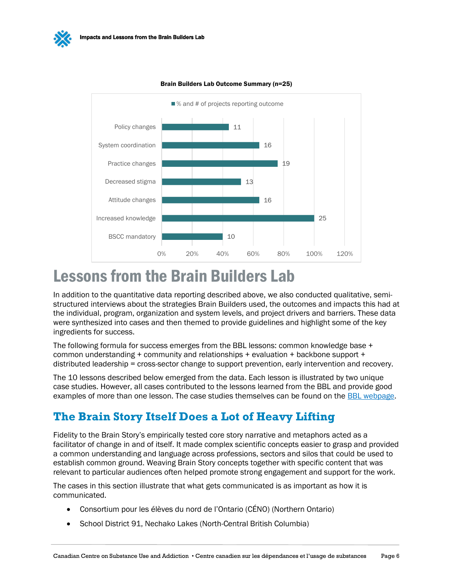

#### Brain Builders Lab Outcome Summary (n=25)

## <span id="page-8-0"></span>Lessons from the Brain Builders Lab

In addition to the quantitative data reporting described above, we also conducted qualitative, semistructured interviews about the strategies Brain Builders used, the outcomes and impacts this had at the individual, program, organization and system levels, and project drivers and barriers. These data were synthesized into cases and then themed to provide guidelines and highlight some of the key ingredients for success.

The following formula for success emerges from the BBL lessons: common knowledge base + common understanding + community and relationships + evaluation + backbone support + distributed leadership = cross-sector change to support prevention, early intervention and recovery.

The 10 lessons described below emerged from the data. Each lesson is illustrated by two unique case studies. However, all cases contributed to the lessons learned from the BBL and provide good examples of more than one lesson. The case studies themselves can be found on the [BBL webpage.](https://ccsa.ca/impact-case-studies)

### <span id="page-8-1"></span>**The Brain Story Itself Does a Lot of Heavy Lifting**

Fidelity to the Brain Story's empirically tested core story narrative and metaphors acted as a facilitator of change in and of itself. It made complex scientific concepts easier to grasp and provided a common understanding and language across professions, sectors and silos that could be used to establish common ground. Weaving Brain Story concepts together with specific content that was relevant to particular audiences often helped promote strong engagement and support for the work.

The cases in this section illustrate that what gets communicated is as important as how it is communicated.

- Consortium pour les élèves du nord de l'Ontario (CÉNO) (Northern Ontario)
- School District 91, Nechako Lakes (North-Central British Columbia)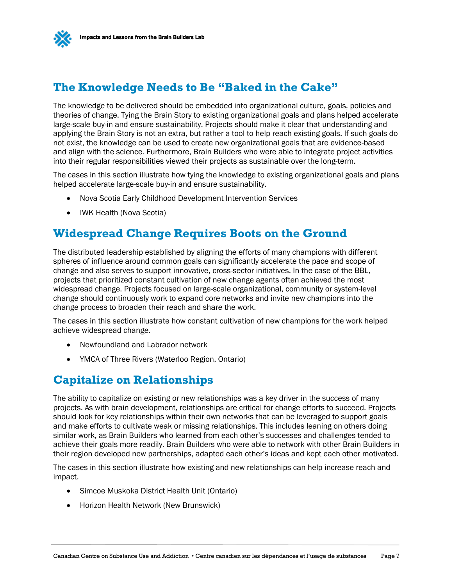

### <span id="page-9-0"></span>**The Knowledge Needs to Be "Baked in the Cake"**

The knowledge to be delivered should be embedded into organizational culture, goals, policies and theories of change. Tying the Brain Story to existing organizational goals and plans helped accelerate large-scale buy-in and ensure sustainability. Projects should make it clear that understanding and applying the Brain Story is not an extra, but rather a tool to help reach existing goals. If such goals do not exist, the knowledge can be used to create new organizational goals that are evidence-based and align with the science. Furthermore, Brain Builders who were able to integrate project activities into their regular responsibilities viewed their projects as sustainable over the long-term.

The cases in this section illustrate how tying the knowledge to existing organizational goals and plans helped accelerate large-scale buy-in and ensure sustainability.

- Nova Scotia Early Childhood Development Intervention Services
- IWK Health (Nova Scotia)

### <span id="page-9-1"></span>**Widespread Change Requires Boots on the Ground**

The distributed leadership established by aligning the efforts of many champions with different spheres of influence around common goals can significantly accelerate the pace and scope of change and also serves to support innovative, cross-sector initiatives. In the case of the BBL, projects that prioritized constant cultivation of new change agents often achieved the most widespread change. Projects focused on large-scale organizational, community or system-level change should continuously work to expand core networks and invite new champions into the change process to broaden their reach and share the work.

The cases in this section illustrate how constant cultivation of new champions for the work helped achieve widespread change.

- Newfoundland and Labrador network
- YMCA of Three Rivers (Waterloo Region, Ontario)

### <span id="page-9-2"></span>**Capitalize on Relationships**

The ability to capitalize on existing or new relationships was a key driver in the success of many projects. As with brain development, relationships are critical for change efforts to succeed. Projects should look for key relationships within their own networks that can be leveraged to support goals and make efforts to cultivate weak or missing relationships. This includes leaning on others doing similar work, as Brain Builders who learned from each other's successes and challenges tended to achieve their goals more readily. Brain Builders who were able to network with other Brain Builders in their region developed new partnerships, adapted each other's ideas and kept each other motivated.

The cases in this section illustrate how existing and new relationships can help increase reach and impact.

- Simcoe Muskoka District Health Unit (Ontario)
- Horizon Health Network (New Brunswick)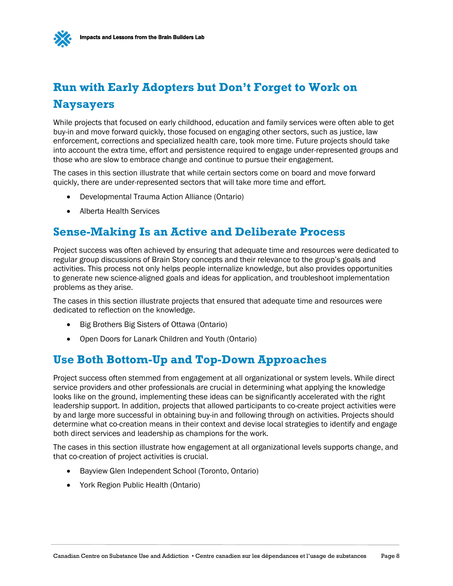



### <span id="page-10-0"></span>**Run with Early Adopters but Don't Forget to Work on Naysayers**

While projects that focused on early childhood, education and family services were often able to get buy-in and move forward quickly, those focused on engaging other sectors, such as justice, law enforcement, corrections and specialized health care, took more time. Future projects should take into account the extra time, effort and persistence required to engage under-represented groups and those who are slow to embrace change and continue to pursue their engagement.

The cases in this section illustrate that while certain sectors come on board and move forward quickly, there are under-represented sectors that will take more time and effort.

- Developmental Trauma Action Alliance (Ontario)
- Alberta Health Services

### <span id="page-10-1"></span>**Sense-Making Is an Active and Deliberate Process**

Project success was often achieved by ensuring that adequate time and resources were dedicated to regular group discussions of Brain Story concepts and their relevance to the group's goals and activities. This process not only helps people internalize knowledge, but also provides opportunities to generate new science-aligned goals and ideas for application, and troubleshoot implementation problems as they arise.

The cases in this section illustrate projects that ensured that adequate time and resources were dedicated to reflection on the knowledge.

- Big Brothers Big Sisters of Ottawa (Ontario)
- Open Doors for Lanark Children and Youth (Ontario)

### <span id="page-10-2"></span>**Use Both Bottom-Up and Top-Down Approaches**

Project success often stemmed from engagement at all organizational or system levels. While direct service providers and other professionals are crucial in determining what applying the knowledge looks like on the ground, implementing these ideas can be significantly accelerated with the right leadership support. In addition, projects that allowed participants to co-create project activities were by and large more successful in obtaining buy-in and following through on activities. Projects should determine what co-creation means in their context and devise local strategies to identify and engage both direct services and leadership as champions for the work.

The cases in this section illustrate how engagement at all organizational levels supports change, and that co-creation of project activities is crucial.

- Bayview Glen Independent School (Toronto, Ontario)
- York Region Public Health (Ontario)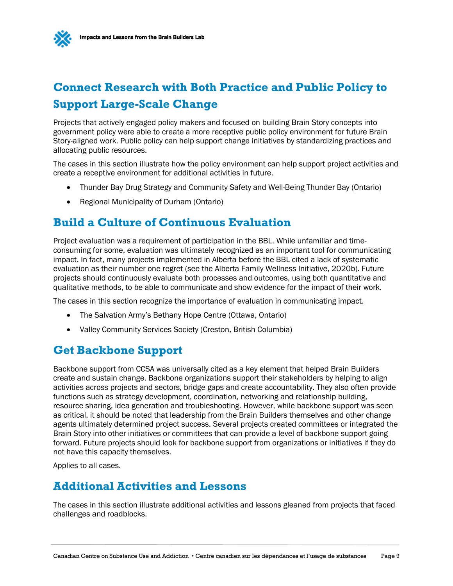

## <span id="page-11-0"></span>**Connect Research with Both Practice and Public Policy to Support Large-Scale Change**

Projects that actively engaged policy makers and focused on building Brain Story concepts into government policy were able to create a more receptive public policy environment for future Brain Story-aligned work. Public policy can help support change initiatives by standardizing practices and allocating public resources.

The cases in this section illustrate how the policy environment can help support project activities and create a receptive environment for additional activities in future.

- Thunder Bay Drug Strategy and Community Safety and Well-Being Thunder Bay (Ontario)
- Regional Municipality of Durham (Ontario)

### <span id="page-11-1"></span>**Build a Culture of Continuous Evaluation**

Project evaluation was a requirement of participation in the BBL. While unfamiliar and timeconsuming for some, evaluation was ultimately recognized as an important tool for communicating impact. In fact, many projects implemented in Alberta before the BBL cited a lack of systematic evaluation as their number one regret (see the Alberta Family Wellness Initiative, 2020b). Future projects should continuously evaluate both processes and outcomes, using both quantitative and qualitative methods, to be able to communicate and show evidence for the impact of their work.

The cases in this section recognize the importance of evaluation in communicating impact.

- The Salvation Army's Bethany Hope Centre (Ottawa, Ontario)
- Valley Community Services Society (Creston, British Columbia)

### <span id="page-11-2"></span>**Get Backbone Support**

Backbone support from CCSA was universally cited as a key element that helped Brain Builders create and sustain change. Backbone organizations support their stakeholders by helping to align activities across projects and sectors, bridge gaps and create accountability. They also often provide functions such as strategy development, coordination, networking and relationship building, resource sharing, idea generation and troubleshooting. However, while backbone support was seen as critical, it should be noted that leadership from the Brain Builders themselves and other change agents ultimately determined project success. Several projects created committees or integrated the Brain Story into other initiatives or committees that can provide a level of backbone support going forward. Future projects should look for backbone support from organizations or initiatives if they do not have this capacity themselves.

Applies to all cases.

### <span id="page-11-3"></span>**Additional Activities and Lessons**

The cases in this section illustrate additional activities and lessons gleaned from projects that faced challenges and roadblocks.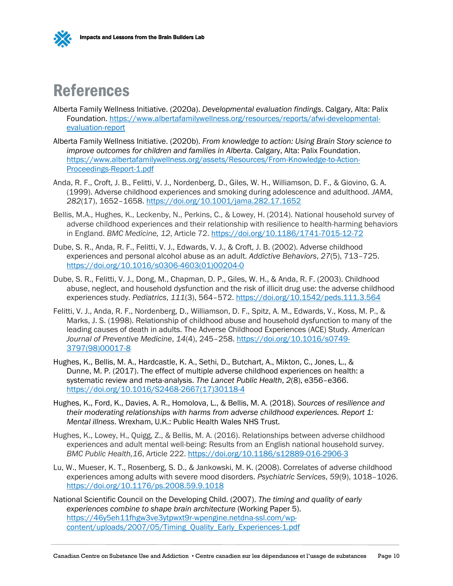



## <span id="page-12-0"></span>References

- Alberta Family Wellness Initiative. (2020a). *Developmental evaluation findings*. Calgary, Alta: Palix Foundation. [https://www.albertafamilywellness.org/resources/reports/afwi-developmental](https://www.albertafamilywellness.org/resources/reports/afwi-developmental-evaluation-report)[evaluation-report](https://www.albertafamilywellness.org/resources/reports/afwi-developmental-evaluation-report)
- Alberta Family Wellness Initiative. (2020b). *From knowledge to action: Using Brain Story science to improve outcomes for children and families in Alberta*. Calgary, Alta: Palix Foundation. [https://www.albertafamilywellness.org/assets/Resources/From-Knowledge-to-Action-](https://www.albertafamilywellness.org/assets/Resources/From-Knowledge-to-Action-Proceedings-Report-1.pdf)[Proceedings-Report-1.pdf](https://www.albertafamilywellness.org/assets/Resources/From-Knowledge-to-Action-Proceedings-Report-1.pdf)
- Anda, R. F., Croft, J. B., Felitti, V. J., Nordenberg, D., Giles, W. H., Williamson, D. F., & Giovino, G. A. (1999). Adverse childhood experiences and smoking during adolescence and adulthood. *JAMA*, *282*(17), 1652–1658.<https://doi.org/10.1001/jama.282.17.1652>
- Bellis, M.A., Hughes, K., Leckenby, N., Perkins, C., & Lowey, H. (2014). National household survey of adverse childhood experiences and their relationship with resilience to health-harming behaviors in England. *BMC Medicine, 12*, Article 72[. https://doi.org/10.1186/1741-7015-12-72](https://doi.org/10.1186/1741-7015-12-72)
- Dube, S. R., Anda, R. F., Felitti, V. J., Edwards, V. J., & Croft, J. B. (2002). Adverse childhood experiences and personal alcohol abuse as an adult. *Addictive Behaviors*, *27*(5), 713–725. [https://doi.org/10.1016/s0306-4603\(01\)00204-0](https://doi.org/10.1016/s0306-4603(01)00204-0)
- Dube, S. R., Felitti, V. J., Dong, M., Chapman, D. P., Giles, W. H., & Anda, R. F. (2003). Childhood abuse, neglect, and household dysfunction and the risk of illicit drug use: the adverse childhood experiences study. *Pediatrics*, *111*(3), 564–572.<https://doi.org/10.1542/peds.111.3.564>
- Felitti, V. J., Anda, R. F., Nordenberg, D., Williamson, D. F., Spitz, A. M., Edwards, V., Koss, M. P., & Marks, J. S. (1998). Relationship of childhood abuse and household dysfunction to many of the leading causes of death in adults. The Adverse Childhood Experiences (ACE) Study. *American Journal of Preventive Medicine*, *14*(4), 245–258. [https://doi.org/10.1016/s0749-](https://doi.org/10.1016/s0749-3797(98)00017-8) [3797\(98\)00017-8](https://doi.org/10.1016/s0749-3797(98)00017-8)
- Hughes, K., Bellis, M. A., Hardcastle, K. A., Sethi, D., Butchart, A., Mikton, C., Jones, L., & Dunne, M. P. (2017). The effect of multiple adverse childhood experiences on health: a systematic review and meta-analysis. *The Lancet Public Health*, *2*(8), e356–e366. [https://doi.org/10.1016/S2468-2667\(17\)30118-4](https://doi.org/10.1016/S2468-2667(17)30118-4)
- Hughes, K., Ford, K., Davies, A. R., Homolova, L., & Bellis, M. A. (2018). *Sources of resilience and their moderating relationships with harms from adverse childhood experiences. Report 1: Mental illness*. Wrexham, U.K.: Public Health Wales NHS Trust.
- Hughes, K., Lowey, H., Quigg, Z., & Bellis, M. A. (2016). Relationships between adverse childhood experiences and adult mental well-being: Results from an English national household survey. *BMC Public Health,16*, Article 222. <https://doi.org/10.1186/s12889-016-2906-3>
- Lu, W., Mueser, K. T., Rosenberg, S. D., & Jankowski, M. K. (2008). Correlates of adverse childhood experiences among adults with severe mood disorders. *Psychiatric Services*, *59*(9), 1018–1026. <https://doi.org/10.1176/ps.2008.59.9.1018>
- National Scientific Council on the Developing Child. (2007). *The timing and quality of early experiences combine to shape brain architecture* (Working Paper 5). [https://46y5eh11fhgw3ve3ytpwxt9r-wpengine.netdna-ssl.com/wp](https://46y5eh11fhgw3ve3ytpwxt9r-wpengine.netdna-ssl.com/wp-content/uploads/2007/05/Timing_Quality_Early_Experiences-1.pdf)[content/uploads/2007/05/Timing\\_Quality\\_Early\\_Experiences-1.pdf](https://46y5eh11fhgw3ve3ytpwxt9r-wpengine.netdna-ssl.com/wp-content/uploads/2007/05/Timing_Quality_Early_Experiences-1.pdf)